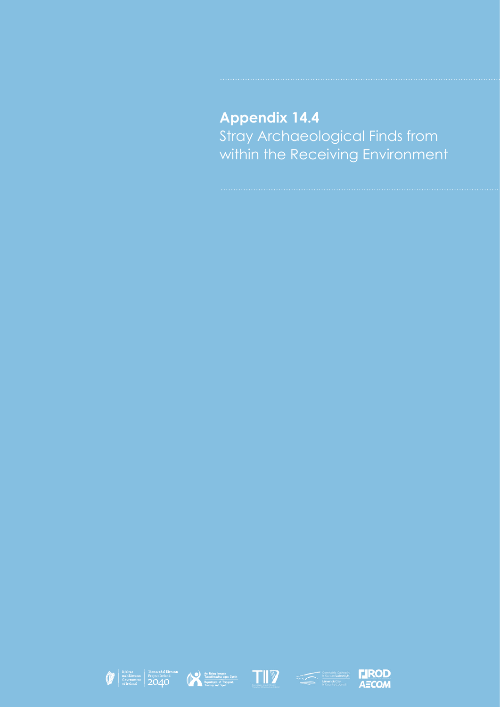## **Appendix 14.4** Stray Archaeological Finds from within the Receiving Environment









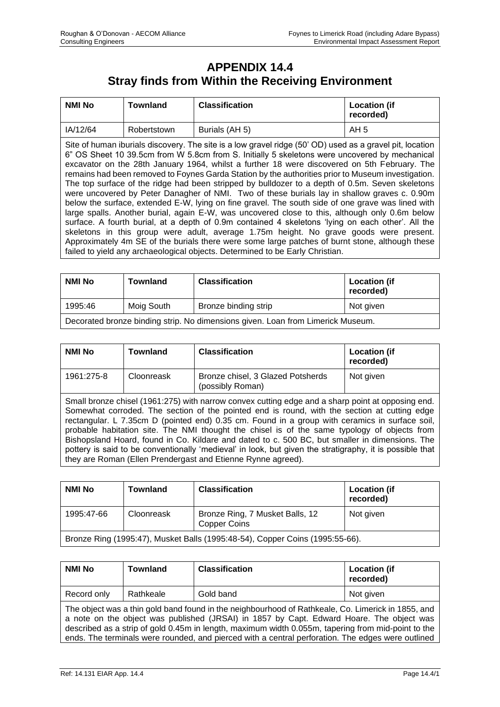## **APPENDIX 14.4 Stray finds from Within the Receiving Environment**

| <b>NMI No</b>                                                                                                                                                                                                                                                                                                                                                                                                                                                                                                                                                                                                                                                                                                                                                                                                                                                                                                                                                                                                                                                                                                                                                                                                | <b>Townland</b> | <b>Classification</b> | <b>Location (if</b><br>recorded) |
|--------------------------------------------------------------------------------------------------------------------------------------------------------------------------------------------------------------------------------------------------------------------------------------------------------------------------------------------------------------------------------------------------------------------------------------------------------------------------------------------------------------------------------------------------------------------------------------------------------------------------------------------------------------------------------------------------------------------------------------------------------------------------------------------------------------------------------------------------------------------------------------------------------------------------------------------------------------------------------------------------------------------------------------------------------------------------------------------------------------------------------------------------------------------------------------------------------------|-----------------|-----------------------|----------------------------------|
| IA/12/64                                                                                                                                                                                                                                                                                                                                                                                                                                                                                                                                                                                                                                                                                                                                                                                                                                                                                                                                                                                                                                                                                                                                                                                                     | Robertstown     | Burials (AH 5)        | AH <sub>5</sub>                  |
| Site of human iburials discovery. The site is a low gravel ridge (50' OD) used as a gravel pit, location<br>6" OS Sheet 10 39.5cm from W 5.8cm from S. Initially 5 skeletons were uncovered by mechanical<br>excavator on the 28th January 1964, whilst a further 18 were discovered on 5th February. The<br>remains had been removed to Foynes Garda Station by the authorities prior to Museum investigation.<br>The top surface of the ridge had been stripped by bulldozer to a depth of 0.5m. Seven skeletons<br>were uncovered by Peter Danagher of NMI. Two of these burials lay in shallow graves c. 0.90m<br>below the surface, extended E-W, lying on fine gravel. The south side of one grave was lined with<br>large spalls. Another burial, again E-W, was uncovered close to this, although only 0.6m below<br>surface. A fourth burial, at a depth of 0.9m contained 4 skeletons 'lying on each other'. All the<br>skeletons in this group were adult, average 1.75m height. No grave goods were present.<br>Approximately 4m SE of the burials there were some large patches of burnt stone, although these<br>failed to yield any archaeological objects. Determined to be Early Christian. |                 |                       |                                  |

| <b>NMI No</b>                                                                   | <b>Townland</b> | <b>Classification</b> | <b>Location (if</b><br>recorded) |
|---------------------------------------------------------------------------------|-----------------|-----------------------|----------------------------------|
| 1995:46                                                                         | Moig South      | Bronze binding strip  | Not given                        |
| Decorated bronze binding strip. No dimensions given. Loan from Limerick Museum. |                 |                       |                                  |

| NMI No     | <b>Townland</b> | <b>Classification</b>                                 | <b>Location (if</b><br>recorded) |
|------------|-----------------|-------------------------------------------------------|----------------------------------|
| 1961:275-8 | Cloonreask      | Bronze chisel, 3 Glazed Potsherds<br>(possibly Roman) | Not given                        |

Small bronze chisel (1961:275) with narrow convex cutting edge and a sharp point at opposing end. Somewhat corroded. The section of the pointed end is round, with the section at cutting edge rectangular. L 7.35cm D (pointed end) 0.35 cm. Found in a group with ceramics in surface soil, probable habitation site. The NMI thought the chisel is of the same typology of objects from Bishopsland Hoard, found in Co. Kildare and dated to c. 500 BC, but smaller in dimensions. The pottery is said to be conventionally 'medieval' in look, but given the stratigraphy, it is possible that they are Roman (Ellen Prendergast and Etienne Rynne agreed).

| NMI No                                                                       | <b>Townland</b> | <b>Classification</b>                                  | <b>Location (if</b><br>recorded) |
|------------------------------------------------------------------------------|-----------------|--------------------------------------------------------|----------------------------------|
| 1995:47-66                                                                   | Cloonreask      | Bronze Ring, 7 Musket Balls, 12<br><b>Copper Coins</b> | Not given                        |
| Bronze Ring (1995:47), Musket Balls (1995:48-54), Copper Coins (1995:55-66). |                 |                                                        |                                  |

| <b>NMI No</b>                                                                                                                                                                                                                                                                                                                                                                                             | <b>Townland</b> | <b>Classification</b> | <b>Location (if</b><br>recorded) |
|-----------------------------------------------------------------------------------------------------------------------------------------------------------------------------------------------------------------------------------------------------------------------------------------------------------------------------------------------------------------------------------------------------------|-----------------|-----------------------|----------------------------------|
| Record only                                                                                                                                                                                                                                                                                                                                                                                               | Rathkeale       | Gold band             | Not given                        |
| The object was a thin gold band found in the neighbourhood of Rathkeale, Co. Limerick in 1855, and<br>a note on the object was published (JRSAI) in 1857 by Capt. Edward Hoare. The object was<br>described as a strip of gold 0.45m in length, maximum width 0.055m, tapering from mid-point to the<br>ends. The terminals were rounded, and pierced with a central perforation. The edges were outlined |                 |                       |                                  |